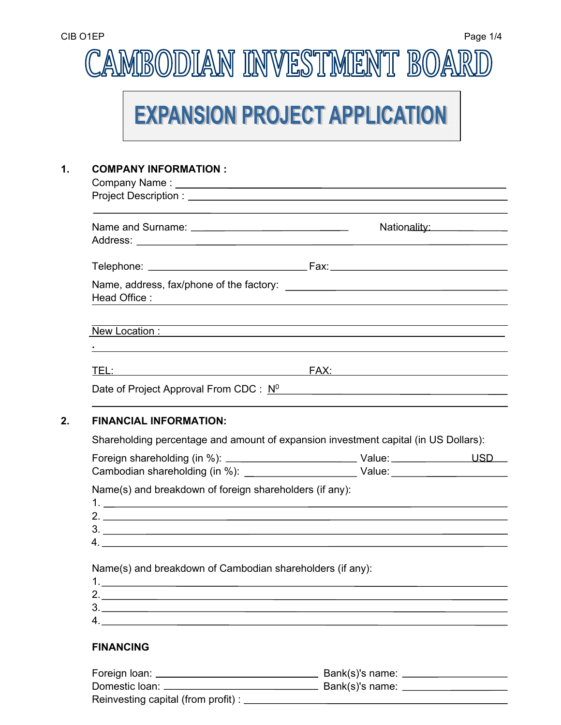# CAMBODIAN INVESTMENT BOARD

## **EXPANSION PROJECT APPLICATION**

## **1. COMPANY INFORMATION :**

|                               | Nationality: Nationality:                                                                                                                              |
|-------------------------------|--------------------------------------------------------------------------------------------------------------------------------------------------------|
|                               |                                                                                                                                                        |
|                               |                                                                                                                                                        |
|                               |                                                                                                                                                        |
| Head Office:                  |                                                                                                                                                        |
|                               |                                                                                                                                                        |
|                               | <u> 1989 - Johann Harry Harry Harry Harry Harry Harry Harry Harry Harry Harry Harry Harry Harry Harry Harry Harry</u><br>New Location : New Location : |
|                               |                                                                                                                                                        |
|                               | <u> 1989 - Johann Stoff, deutscher Stoffen und der Stoffen und der Stoffen und der Stoffen und der Stoffen und de</u>                                  |
|                               |                                                                                                                                                        |
|                               |                                                                                                                                                        |
|                               |                                                                                                                                                        |
|                               |                                                                                                                                                        |
| <b>FINANCIAL INFORMATION:</b> |                                                                                                                                                        |
|                               | Shareholding percentage and amount of expansion investment capital (in US Dollars):                                                                    |
|                               |                                                                                                                                                        |

Name(s) and breakdown of foreign shareholders (if any):

Name(s) and breakdown of Cambodian shareholders (if any):

## **FINANCING**

| Foreign loan: _                     | Bank(s)'s name: |
|-------------------------------------|-----------------|
| Domestic loan:                      | Bank(s)'s name: |
| Reinvesting capital (from profit) : |                 |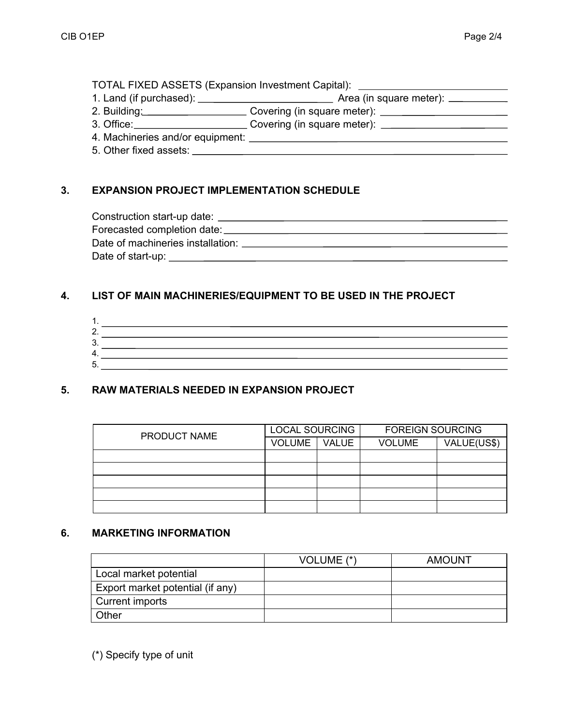|                        | Area (in square meter): ________ |
|------------------------|----------------------------------|
|                        |                                  |
|                        |                                  |
|                        |                                  |
| 5. Other fixed assets: |                                  |

## **3. EXPANSION PROJECT IMPLEMENTATION SCHEDULE**

| Date of machineries installation: |  |
|-----------------------------------|--|
| Date of start-up:                 |  |

#### **4. LIST OF MAIN MACHINERIES/EQUIPMENT TO BE USED IN THE PROJECT**

| ╭<br>u. |  |
|---------|--|
|         |  |
| ∽       |  |

## **5. RAW MATERIALS NEEDED IN EXPANSION PROJECT**

| PRODUCT NAME | <b>LOCAL SOURCING</b> |              | <b>FOREIGN SOURCING</b> |             |
|--------------|-----------------------|--------------|-------------------------|-------------|
|              | <b>VOLUME</b>         | <b>VALUE</b> | VOLUME                  | VALUE(US\$) |
|              |                       |              |                         |             |
|              |                       |              |                         |             |
|              |                       |              |                         |             |
|              |                       |              |                         |             |
|              |                       |              |                         |             |

#### **6. MARKETING INFORMATION**

|                                  | VOLUME (*) | <b>AMOUNT</b> |
|----------------------------------|------------|---------------|
| Local market potential           |            |               |
| Export market potential (if any) |            |               |
| Current imports                  |            |               |
| Other                            |            |               |

(\*) Specify type of unit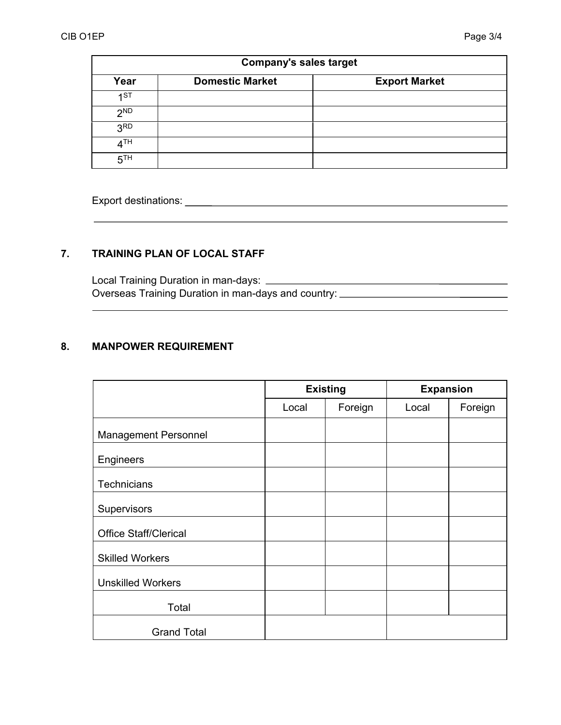| <b>Company's sales target</b> |                        |                      |  |
|-------------------------------|------------------------|----------------------|--|
| Year                          | <b>Domestic Market</b> | <b>Export Market</b> |  |
| 1ST                           |                        |                      |  |
| 2 <sub>ND</sub>               |                        |                      |  |
| 3 <sup>RD</sup>               |                        |                      |  |
| 4 <sup>TH</sup>               |                        |                      |  |
| 5 <sup>TH</sup>               |                        |                      |  |

Export destinations: <u>export of the state of</u> the state of the state of the state of the state of the state of the state of the state of the state of the state of the state of the state of the state of the state of the sta

## **7. TRAINING PLAN OF LOCAL STAFF**

 Local Training Duration in man-days: Overseas Training Duration in man-days and country:

#### **8. MANPOWER REQUIREMENT**

|                              | <b>Existing</b> |         | <b>Expansion</b> |         |
|------------------------------|-----------------|---------|------------------|---------|
|                              | Local           | Foreign | Local            | Foreign |
| <b>Management Personnel</b>  |                 |         |                  |         |
| Engineers                    |                 |         |                  |         |
| <b>Technicians</b>           |                 |         |                  |         |
| Supervisors                  |                 |         |                  |         |
| <b>Office Staff/Clerical</b> |                 |         |                  |         |
| <b>Skilled Workers</b>       |                 |         |                  |         |
| <b>Unskilled Workers</b>     |                 |         |                  |         |
| Total                        |                 |         |                  |         |
| <b>Grand Total</b>           |                 |         |                  |         |